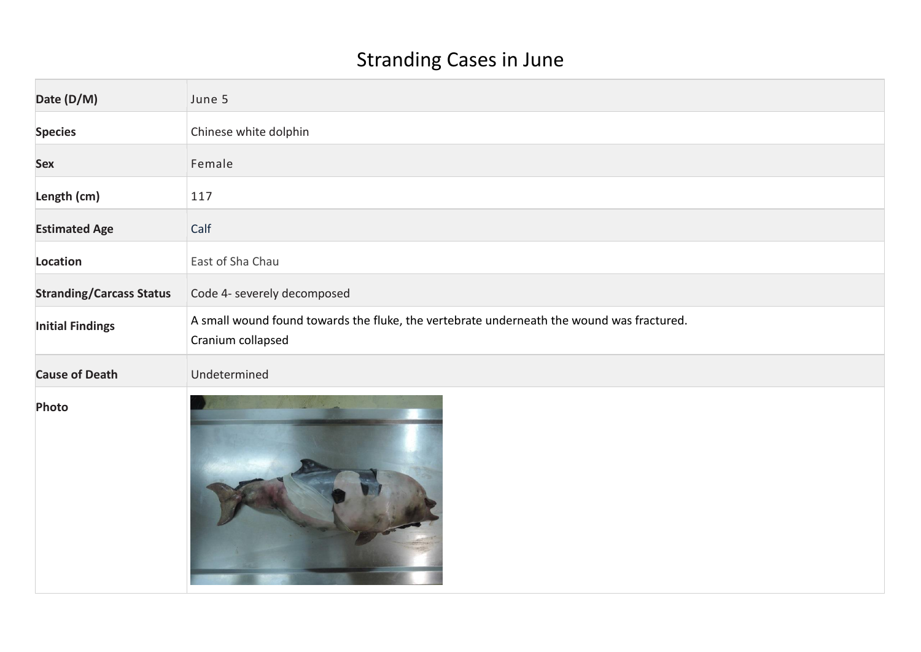## Stranding Cases in June

| Date (D/M)                      | June 5                                                                                                         |
|---------------------------------|----------------------------------------------------------------------------------------------------------------|
| <b>Species</b>                  | Chinese white dolphin                                                                                          |
| <b>Sex</b>                      | Female                                                                                                         |
| Length (cm)                     | 117                                                                                                            |
| <b>Estimated Age</b>            | Calf                                                                                                           |
| Location                        | East of Sha Chau                                                                                               |
| <b>Stranding/Carcass Status</b> | Code 4- severely decomposed                                                                                    |
| <b>Initial Findings</b>         | A small wound found towards the fluke, the vertebrate underneath the wound was fractured.<br>Cranium collapsed |
| <b>Cause of Death</b>           | Undetermined                                                                                                   |
| Photo                           |                                                                                                                |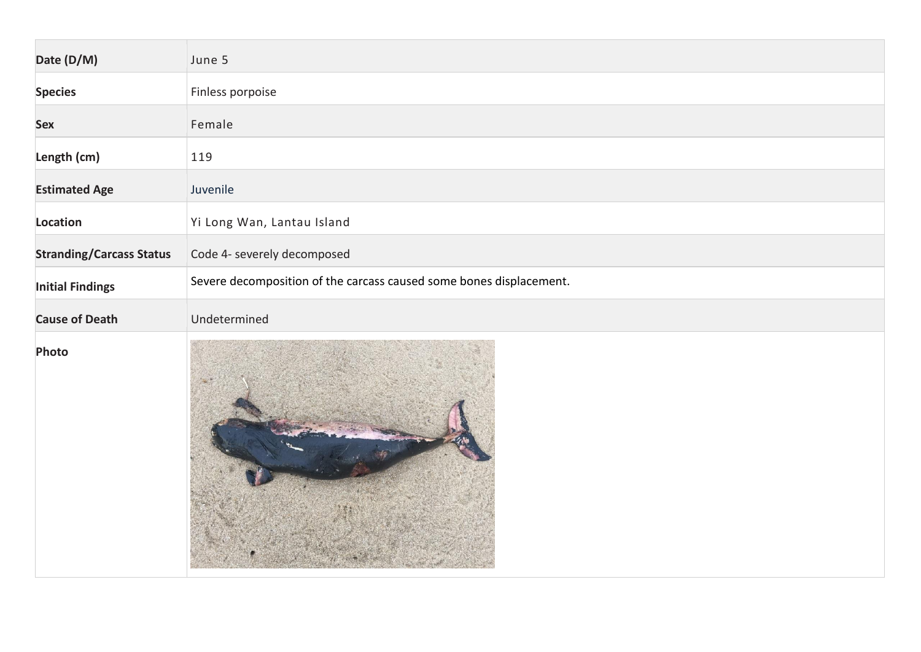| Date (D/M)                      | June 5                                                              |
|---------------------------------|---------------------------------------------------------------------|
| <b>Species</b>                  | Finless porpoise                                                    |
| <b>Sex</b>                      | Female                                                              |
| Length (cm)                     | 119                                                                 |
| <b>Estimated Age</b>            | Juvenile                                                            |
| Location                        | Yi Long Wan, Lantau Island                                          |
| <b>Stranding/Carcass Status</b> | Code 4- severely decomposed                                         |
| <b>Initial Findings</b>         | Severe decomposition of the carcass caused some bones displacement. |
| <b>Cause of Death</b>           | Undetermined                                                        |
| Photo                           |                                                                     |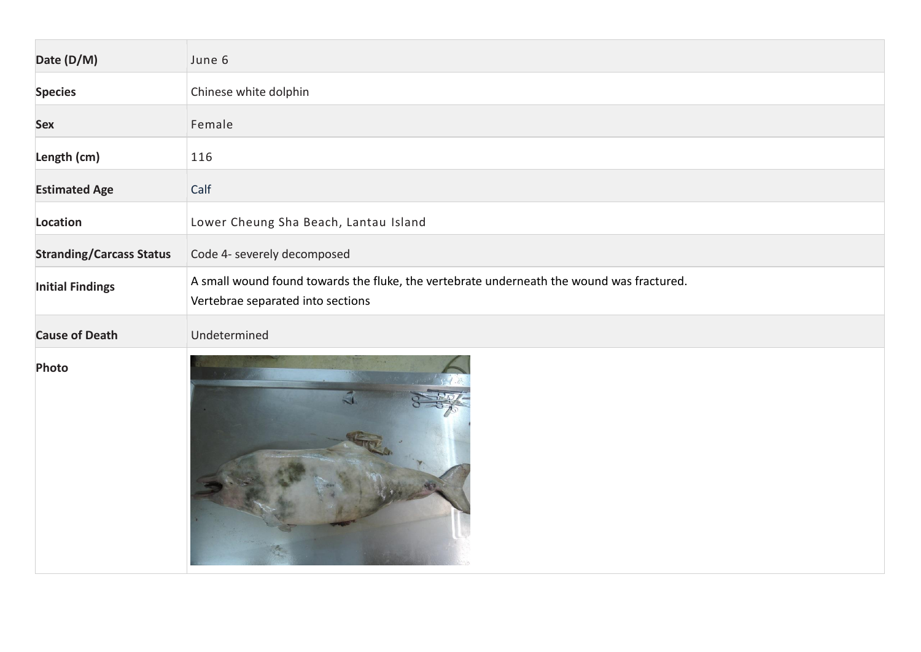| Date (D/M)                      | June 6                                                                                                                         |
|---------------------------------|--------------------------------------------------------------------------------------------------------------------------------|
| <b>Species</b>                  | Chinese white dolphin                                                                                                          |
| <b>Sex</b>                      | Female                                                                                                                         |
| Length (cm)                     | 116                                                                                                                            |
| <b>Estimated Age</b>            | Calf                                                                                                                           |
| Location                        | Lower Cheung Sha Beach, Lantau Island                                                                                          |
| <b>Stranding/Carcass Status</b> | Code 4- severely decomposed                                                                                                    |
| <b>Initial Findings</b>         | A small wound found towards the fluke, the vertebrate underneath the wound was fractured.<br>Vertebrae separated into sections |
| <b>Cause of Death</b>           | Undetermined                                                                                                                   |
| Photo                           | $\leq$                                                                                                                         |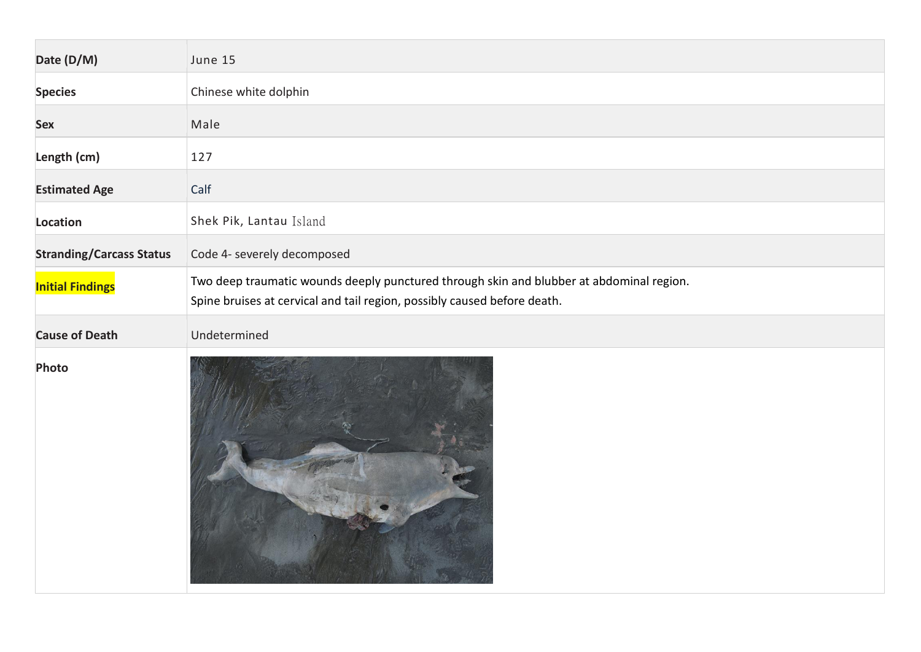| Date (D/M)                      | June 15                                                                                                                                                              |
|---------------------------------|----------------------------------------------------------------------------------------------------------------------------------------------------------------------|
| <b>Species</b>                  | Chinese white dolphin                                                                                                                                                |
| <b>Sex</b>                      | Male                                                                                                                                                                 |
| Length (cm)                     | 127                                                                                                                                                                  |
| <b>Estimated Age</b>            | Calf                                                                                                                                                                 |
| Location                        | Shek Pik, Lantau Island                                                                                                                                              |
| <b>Stranding/Carcass Status</b> | Code 4- severely decomposed                                                                                                                                          |
| <b>Initial Findings</b>         | Two deep traumatic wounds deeply punctured through skin and blubber at abdominal region.<br>Spine bruises at cervical and tail region, possibly caused before death. |
| <b>Cause of Death</b>           | Undetermined                                                                                                                                                         |
| Photo                           |                                                                                                                                                                      |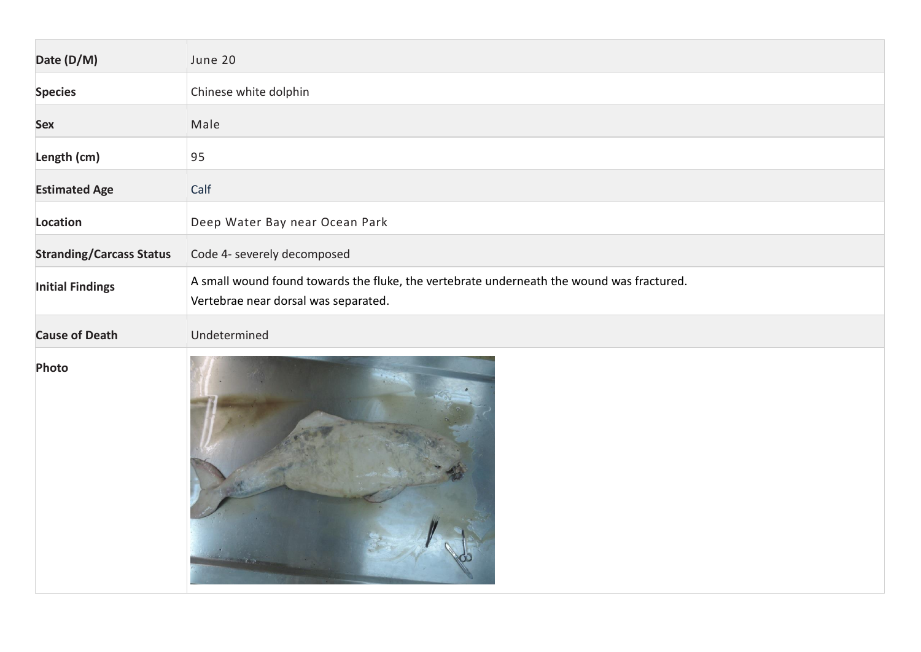| Date (D/M)                      | June 20                                                                                                                           |
|---------------------------------|-----------------------------------------------------------------------------------------------------------------------------------|
| <b>Species</b>                  | Chinese white dolphin                                                                                                             |
| <b>Sex</b>                      | Male                                                                                                                              |
| Length (cm)                     | 95                                                                                                                                |
| <b>Estimated Age</b>            | Calf                                                                                                                              |
| Location                        | Deep Water Bay near Ocean Park                                                                                                    |
| <b>Stranding/Carcass Status</b> | Code 4- severely decomposed                                                                                                       |
| <b>Initial Findings</b>         | A small wound found towards the fluke, the vertebrate underneath the wound was fractured.<br>Vertebrae near dorsal was separated. |
| <b>Cause of Death</b>           | Undetermined                                                                                                                      |
| Photo                           |                                                                                                                                   |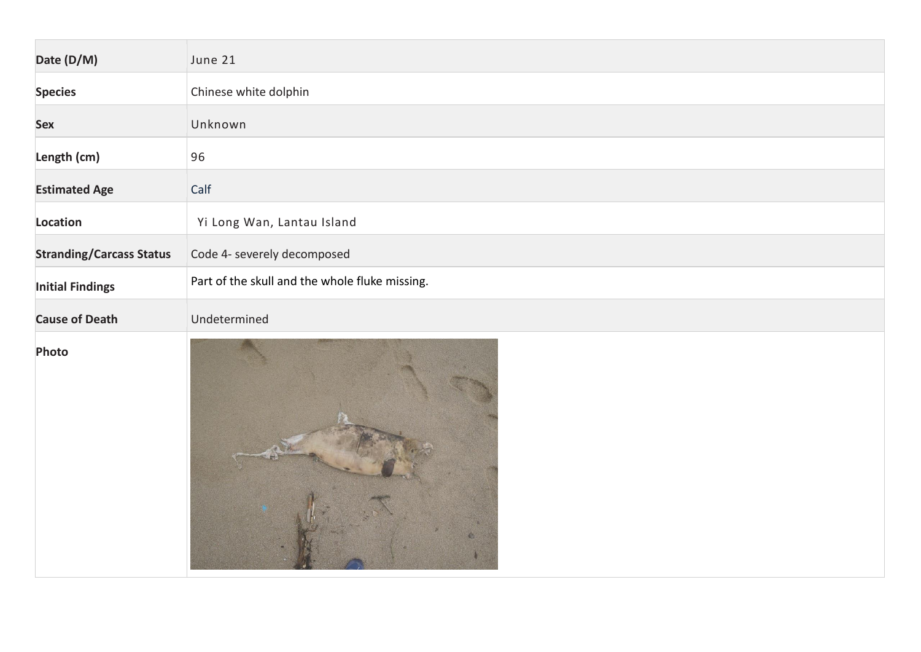| Date (D/M)                      | June 21                                        |
|---------------------------------|------------------------------------------------|
| <b>Species</b>                  | Chinese white dolphin                          |
| <b>Sex</b>                      | Unknown                                        |
| Length (cm)                     | 96                                             |
| <b>Estimated Age</b>            | Calf                                           |
| Location                        | Yi Long Wan, Lantau Island                     |
| <b>Stranding/Carcass Status</b> | Code 4- severely decomposed                    |
| <b>Initial Findings</b>         | Part of the skull and the whole fluke missing. |
| <b>Cause of Death</b>           | Undetermined                                   |
| Photo                           |                                                |